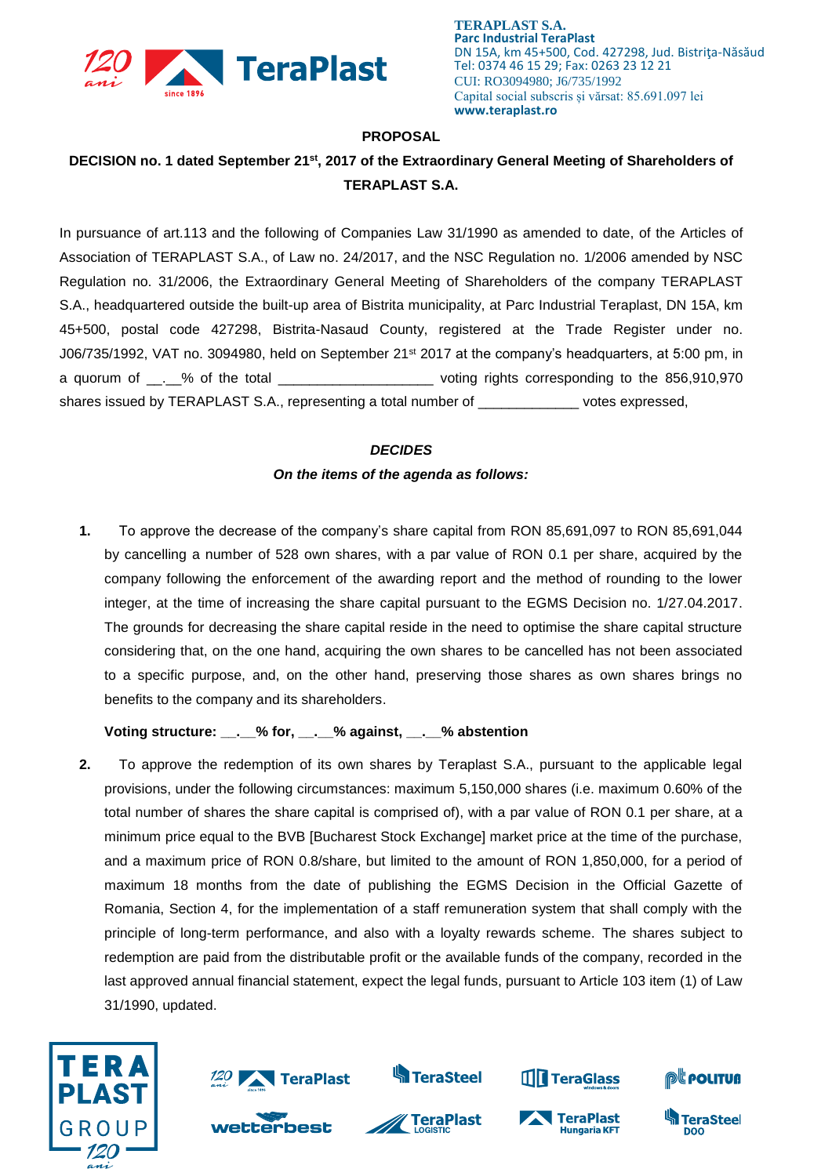

**TERAPLAST S.A. Parc Industrial TeraPlast** DN 15A, km 45+500, Cod. 427298, Jud. Bistriţa-Năsăud Tel: 0374 46 15 29; Fax: 0263 23 12 21 CUI: RO3094980; J6/735/1992 Capital social subscris și vărsat: 85.691.097 lei **www.teraplast.ro**

#### **PROPOSAL**

# **DECISION no. 1 dated September 21st , 2017 of the Extraordinary General Meeting of Shareholders of TERAPLAST S.A.**

In pursuance of art.113 and the following of Companies Law 31/1990 as amended to date, of the Articles of Association of TERAPLAST S.A., of Law no. 24/2017, and the NSC Regulation no. 1/2006 amended by NSC Regulation no. 31/2006, the Extraordinary General Meeting of Shareholders of the company TERAPLAST S.A., headquartered outside the built-up area of Bistrita municipality, at Parc Industrial Teraplast, DN 15A, km 45+500, postal code 427298, Bistrita-Nasaud County, registered at the Trade Register under no. J06/735/1992, VAT no. 3094980, held on September 21<sup>st</sup> 2017 at the company's headquarters, at 5:00 pm, in a quorum of \_\_.\_% of the total \_\_\_\_\_\_\_\_\_\_\_\_\_\_\_\_\_\_\_\_\_\_\_\_\_\_voting rights corresponding to the 856,910,970 shares issued by TERAPLAST S.A., representing a total number of \_\_\_\_\_\_\_\_\_\_\_\_\_ votes expressed,

#### *DECIDES*

## *On the items of the agenda as follows:*

**1.** To approve the decrease of the company's share capital from RON 85,691,097 to RON 85,691,044 by cancelling a number of 528 own shares, with a par value of RON 0.1 per share, acquired by the company following the enforcement of the awarding report and the method of rounding to the lower integer, at the time of increasing the share capital pursuant to the EGMS Decision no. 1/27.04.2017. The grounds for decreasing the share capital reside in the need to optimise the share capital structure considering that, on the one hand, acquiring the own shares to be cancelled has not been associated to a specific purpose, and, on the other hand, preserving those shares as own shares brings no benefits to the company and its shareholders.

# **Voting structure: \_\_.\_\_% for, \_\_.\_\_% against, \_\_.\_\_% abstention**

**2.** To approve the redemption of its own shares by Teraplast S.A., pursuant to the applicable legal provisions, under the following circumstances: maximum 5,150,000 shares (i.e. maximum 0.60% of the total number of shares the share capital is comprised of), with a par value of RON 0.1 per share, at a minimum price equal to the BVB [Bucharest Stock Exchange] market price at the time of the purchase, and a maximum price of RON 0.8/share, but limited to the amount of RON 1,850,000, for a period of maximum 18 months from the date of publishing the EGMS Decision in the Official Gazette of Romania, Section 4, for the implementation of a staff remuneration system that shall comply with the principle of long-term performance, and also with a loyalty rewards scheme. The shares subject to redemption are paid from the distributable profit or the available funds of the company, recorded in the last approved annual financial statement, expect the legal funds, pursuant to Article 103 item (1) of Law 31/1990, updated.





wetterbest



**S**TeraSteel



TeraPlast

**Hungaria KFT** 



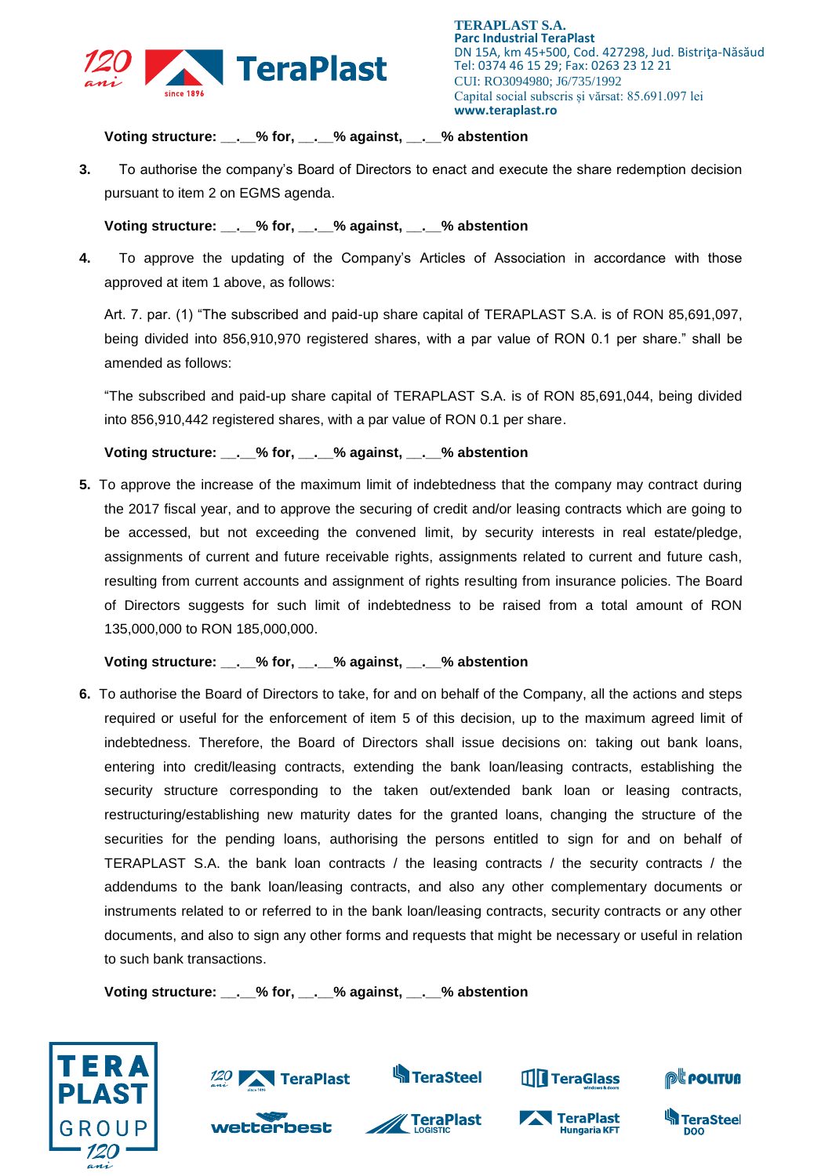

**TERAPLAST S.A. Parc Industrial TeraPlast** DN 15A, km 45+500, Cod. 427298, Jud. Bistriţa-Năsăud Tel: 0374 46 15 29; Fax: 0263 23 12 21 CUI: RO3094980; J6/735/1992 Capital social subscris și vărsat: 85.691.097 lei **www.teraplast.ro**

# **Voting structure: \_\_.\_\_% for, \_\_.\_\_% against, \_\_.\_\_% abstention**

**3.** To authorise the company's Board of Directors to enact and execute the share redemption decision pursuant to item 2 on EGMS agenda.

**Voting structure: \_\_.\_\_% for, \_\_.\_\_% against, \_\_.\_\_% abstention**

**4.** To approve the updating of the Company's Articles of Association in accordance with those approved at item 1 above, as follows:

Art. 7. par. (1) "The subscribed and paid-up share capital of TERAPLAST S.A. is of RON 85,691,097, being divided into 856,910,970 registered shares, with a par value of RON 0.1 per share." shall be amended as follows:

"The subscribed and paid-up share capital of TERAPLAST S.A. is of RON 85,691,044, being divided into 856,910,442 registered shares, with a par value of RON 0.1 per share.

## **Voting structure: \_\_.\_\_% for, \_\_.\_\_% against, \_\_.\_\_% abstention**

**5.** To approve the increase of the maximum limit of indebtedness that the company may contract during the 2017 fiscal year, and to approve the securing of credit and/or leasing contracts which are going to be accessed, but not exceeding the convened limit, by security interests in real estate/pledge, assignments of current and future receivable rights, assignments related to current and future cash, resulting from current accounts and assignment of rights resulting from insurance policies. The Board of Directors suggests for such limit of indebtedness to be raised from a total amount of RON 135,000,000 to RON 185,000,000.

## **Voting structure: \_\_.\_\_% for, \_\_.\_\_% against, \_\_.\_\_% abstention**

**6.** To authorise the Board of Directors to take, for and on behalf of the Company, all the actions and steps required or useful for the enforcement of item 5 of this decision, up to the maximum agreed limit of indebtedness. Therefore, the Board of Directors shall issue decisions on: taking out bank loans, entering into credit/leasing contracts, extending the bank loan/leasing contracts, establishing the security structure corresponding to the taken out/extended bank loan or leasing contracts, restructuring/establishing new maturity dates for the granted loans, changing the structure of the securities for the pending loans, authorising the persons entitled to sign for and on behalf of TERAPLAST S.A. the bank loan contracts / the leasing contracts / the security contracts / the addendums to the bank loan/leasing contracts, and also any other complementary documents or instruments related to or referred to in the bank loan/leasing contracts, security contracts or any other documents, and also to sign any other forms and requests that might be necessary or useful in relation to such bank transactions.

**Voting structure: \_\_.\_\_% for, \_\_.\_\_% against, \_\_.\_\_% abstention**





wetterbest



**S**TeraSteel



**THE TeraGlass**